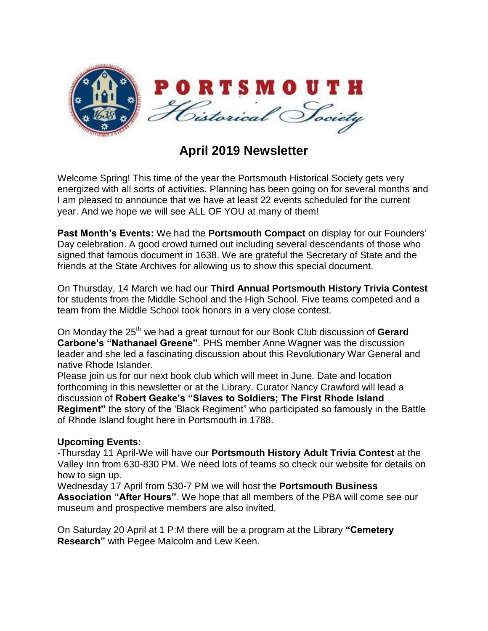

## **April 2019 Newsletter**

Welcome Spring! This time of the year the Portsmouth Historical Society gets very energized with all sorts of activities. Planning has been going on for several months and I am pleased to announce that we have at least 22 events scheduled for the current year. And we hope we will see ALL OF YOU at many of them!

**Past Month's Events:** We had the **Portsmouth Compact** on display for our Founders' Day celebration. A good crowd turned out including several descendants of those who signed that famous document in 1638. We are grateful the Secretary of State and the friends at the State Archives for allowing us to show this special document.

On Thursday, 14 March we had our **Third Annual Portsmouth History Trivia Contest** for students from the Middle School and the High School. Five teams competed and a team from the Middle School took honors in a very close contest.

On Monday the 25<sup>th</sup> we had a great turnout for our Book Club discussion of Gerard **Carbone's "Nathanael Greene"**. PHS member Anne Wagner was the discussion leader and she led a fascinating discussion about this Revolutionary War General and native Rhode Islander.

Please join us for our next book club which will meet in June. Date and location forthcoming in this newsletter or at the Library. Curator Nancy Crawford will lead a discussion of **Robert Geake's "Slaves to Soldiers; The First Rhode Island Regiment"** the story of the 'Black Regiment" who participated so famously in the Battle of Rhode Island fought here in Portsmouth in 1788.

## **Upcoming Events:**

-Thursday 11 April-We will have our **Portsmouth History Adult Trivia Contest** at the Valley Inn from 630-830 PM. We need lots of teams so check our website for details on how to sign up.

Wednesday 17 April from 530-7 PM we will host the **Portsmouth Business Association "After Hours"**. We hope that all members of the PBA will come see our museum and prospective members are also invited.

On Saturday 20 April at 1 P:M there will be a program at the Library **"Cemetery Research"** with Pegee Malcolm and Lew Keen.